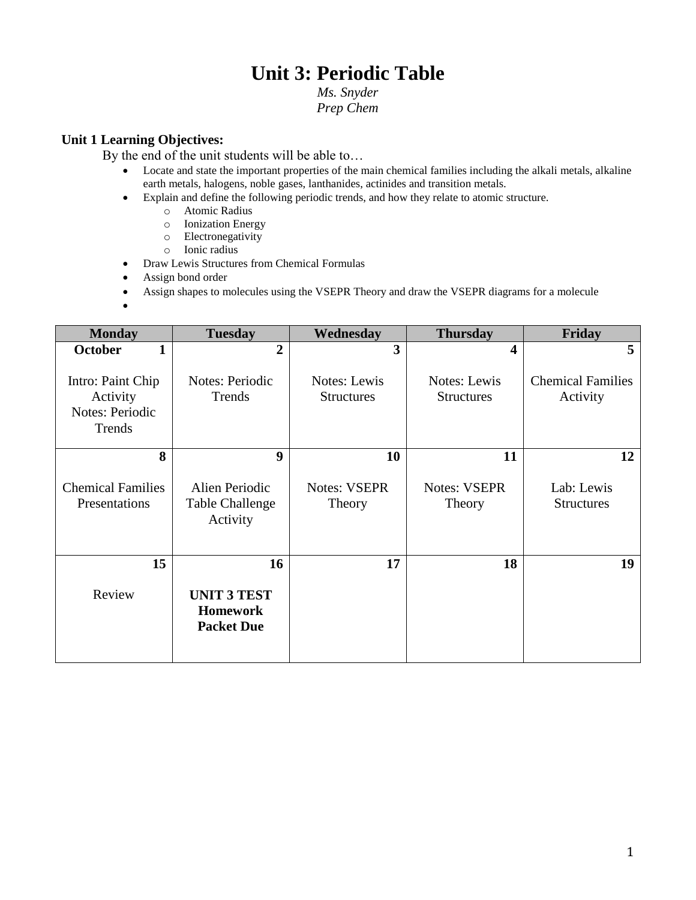# **Unit 3: Periodic Table**

### *Ms. Snyder Prep Chem*

## **Unit 1 Learning Objectives:**

By the end of the unit students will be able to…

- Locate and state the important properties of the main chemical families including the alkali metals, alkaline earth metals, halogens, noble gases, lanthanides, actinides and transition metals.
- Explain and define the following periodic trends, and how they relate to atomic structure.
	- o Atomic Radius
	- o Ionization Energy
	- o Electronegativity
	- o Ionic radius
- Draw Lewis Structures from Chemical Formulas
- Assign bond order
- Assign shapes to molecules using the VSEPR Theory and draw the VSEPR diagrams for a molecule

 $\bullet$ 

| <b>Monday</b>                                              | <b>Tuesday</b>                                             | Wednesday                                | <b>Thursday</b>                   | Friday                               |
|------------------------------------------------------------|------------------------------------------------------------|------------------------------------------|-----------------------------------|--------------------------------------|
| <b>October</b><br>1                                        | $\overline{2}$                                             | 3                                        | 4                                 | 5                                    |
| Intro: Paint Chip<br>Activity<br>Notes: Periodic<br>Trends | <b>Notes: Periodic</b><br>Trends                           | <b>Notes:</b> Lewis<br><b>Structures</b> | Notes: Lewis<br><b>Structures</b> | <b>Chemical Families</b><br>Activity |
| 8                                                          | 9                                                          | 10                                       | 11                                | 12                                   |
| <b>Chemical Families</b><br>Presentations                  | Alien Periodic<br><b>Table Challenge</b><br>Activity       | <b>Notes: VSEPR</b><br>Theory            | <b>Notes: VSEPR</b><br>Theory     | Lab: Lewis<br><b>Structures</b>      |
| 15                                                         | 16                                                         | 17                                       | 18                                | 19                                   |
| Review                                                     | <b>UNIT 3 TEST</b><br><b>Homework</b><br><b>Packet Due</b> |                                          |                                   |                                      |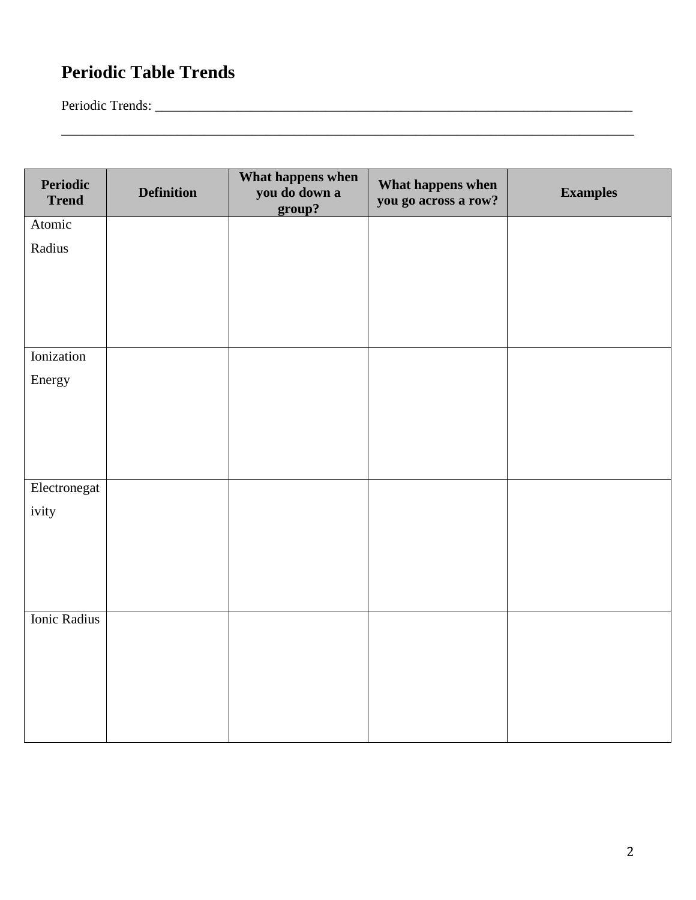# **Periodic Table Trends**

Periodic Trends: \_\_\_\_\_\_\_\_\_\_\_\_\_\_\_\_\_\_\_\_\_\_\_\_\_\_\_\_\_\_\_\_\_\_\_\_\_\_\_\_\_\_\_\_\_\_\_\_\_\_\_\_\_\_\_\_\_\_\_\_\_\_\_\_\_\_\_\_\_\_

| Periodic<br><b>Trend</b> | <b>Definition</b> | What happens when<br>you do down a<br>group? | What happens when<br>you go across a row? | <b>Examples</b> |
|--------------------------|-------------------|----------------------------------------------|-------------------------------------------|-----------------|
| Atomic                   |                   |                                              |                                           |                 |
| Radius                   |                   |                                              |                                           |                 |
| Ionization               |                   |                                              |                                           |                 |
| Energy                   |                   |                                              |                                           |                 |
| Electronegat<br>ivity    |                   |                                              |                                           |                 |
| Ionic Radius             |                   |                                              |                                           |                 |

\_\_\_\_\_\_\_\_\_\_\_\_\_\_\_\_\_\_\_\_\_\_\_\_\_\_\_\_\_\_\_\_\_\_\_\_\_\_\_\_\_\_\_\_\_\_\_\_\_\_\_\_\_\_\_\_\_\_\_\_\_\_\_\_\_\_\_\_\_\_\_\_\_\_\_\_\_\_\_\_\_\_\_\_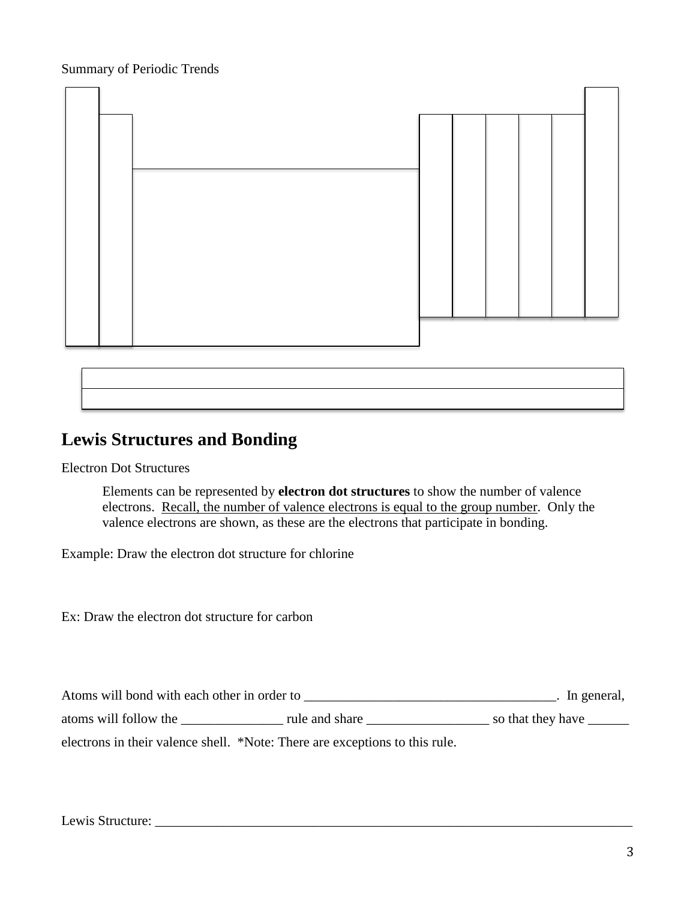Summary of Periodic Trends



## **Lewis Structures and Bonding**

Electron Dot Structures

Elements can be represented by **electron dot structures** to show the number of valence electrons. Recall, the number of valence electrons is equal to the group number. Only the valence electrons are shown, as these are the electrons that participate in bonding.

Example: Draw the electron dot structure for chlorine

Ex: Draw the electron dot structure for carbon

Atoms will bond with each other in order to \_\_\_\_\_\_\_\_\_\_\_\_\_\_\_\_\_\_\_\_\_\_\_\_\_\_\_\_\_\_\_\_\_\_\_\_\_. In general,

atoms will follow the \_\_\_\_\_\_\_\_\_\_\_\_\_\_\_\_\_\_ rule and share \_\_\_\_\_\_\_\_\_\_\_\_\_\_\_\_\_\_\_\_\_\_\_\_\_ so that they have \_\_\_\_\_\_\_\_\_\_

electrons in their valence shell. \*Note: There are exceptions to this rule.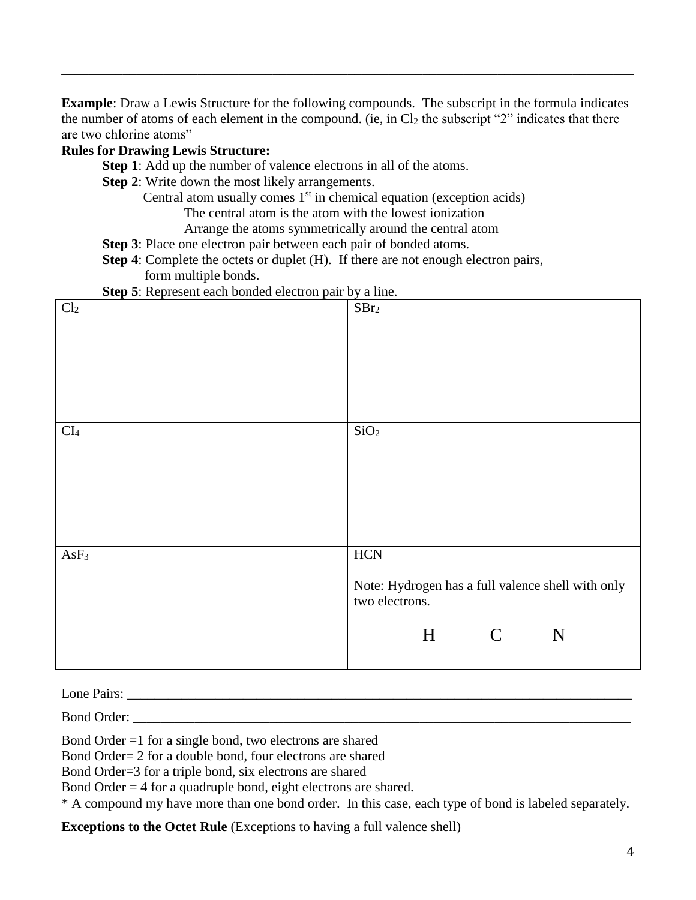**Example**: Draw a Lewis Structure for the following compounds. The subscript in the formula indicates the number of atoms of each element in the compound. (ie, in  $Cl_2$  the subscript "2" indicates that there are two chlorine atoms"

\_\_\_\_\_\_\_\_\_\_\_\_\_\_\_\_\_\_\_\_\_\_\_\_\_\_\_\_\_\_\_\_\_\_\_\_\_\_\_\_\_\_\_\_\_\_\_\_\_\_\_\_\_\_\_\_\_\_\_\_\_\_\_\_\_\_\_\_\_\_\_\_\_\_\_\_\_\_\_\_\_\_\_\_

## **Rules for Drawing Lewis Structure:**

**Step 1**: Add up the number of valence electrons in all of the atoms.

- **Step 2:** Write down the most likely arrangements.
	- Central atom usually comes  $1<sup>st</sup>$  in chemical equation (exception acids)

The central atom is the atom with the lowest ionization

Arrange the atoms symmetrically around the central atom

- **Step 3**: Place one electron pair between each pair of bonded atoms.
- **Step 4**: Complete the octets or duplet (H). If there are not enough electron pairs, form multiple bonds.

**Step 5**: Represent each bonded electron pair by a line.

| $\mathcal{L}$ be a represent each conced electron pair $\sigma$ $\mathcal{L}$ a line. |                                                                                                              |  |  |  |
|---------------------------------------------------------------------------------------|--------------------------------------------------------------------------------------------------------------|--|--|--|
| Cl <sub>2</sub>                                                                       | SBr <sub>2</sub>                                                                                             |  |  |  |
| $\rm{CI}_4$                                                                           | SiO <sub>2</sub>                                                                                             |  |  |  |
| AsF <sub>3</sub>                                                                      | <b>HCN</b><br>Note: Hydrogen has a full valence shell with only<br>two electrons.<br>H<br>$\mathcal{C}$<br>N |  |  |  |

Lone Pairs: \_\_\_\_\_\_\_\_\_\_\_\_\_\_\_\_\_\_\_\_\_\_\_\_\_\_\_\_\_\_\_\_\_\_\_\_\_\_\_\_\_\_\_\_\_\_\_\_\_\_\_\_\_\_\_\_\_\_\_\_\_\_\_\_\_\_\_\_\_\_\_\_\_\_

Bond Order:

Bond Order =1 for a single bond, two electrons are shared

Bond Order= 2 for a double bond, four electrons are shared

Bond Order=3 for a triple bond, six electrons are shared

Bond Order  $= 4$  for a quadruple bond, eight electrons are shared.

\* A compound my have more than one bond order. In this case, each type of bond is labeled separately.

**Exceptions to the Octet Rule** (Exceptions to having a full valence shell)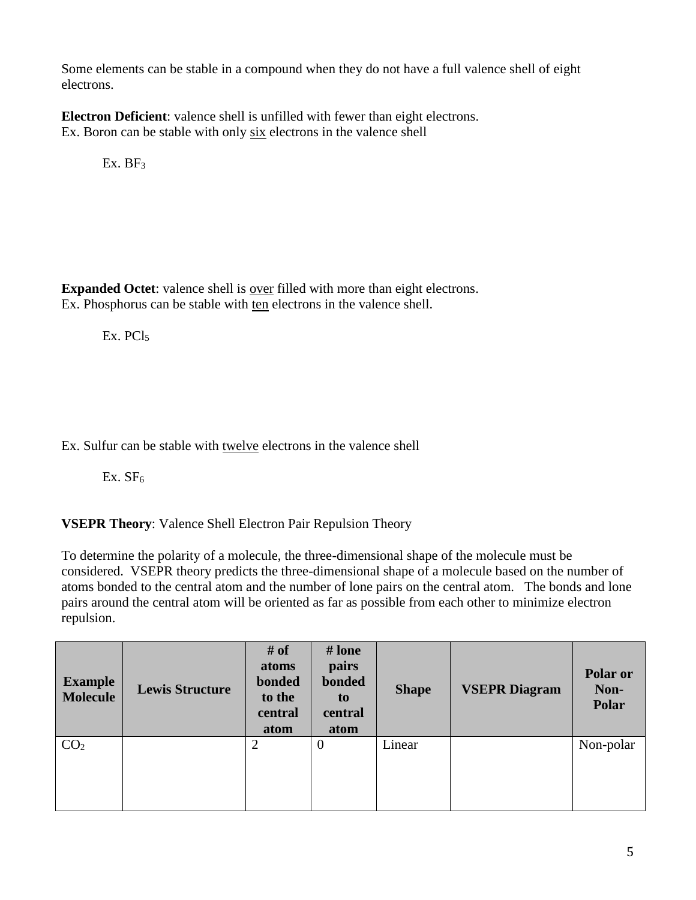Some elements can be stable in a compound when they do not have a full valence shell of eight electrons.

**Electron Deficient**: valence shell is unfilled with fewer than eight electrons. Ex. Boron can be stable with only six electrons in the valence shell

Ex.  $BF<sub>3</sub>$ 

**Expanded Octet**: valence shell is over filled with more than eight electrons. Ex. Phosphorus can be stable with ten electrons in the valence shell.

Ex. PCl<sub>5</sub>

Ex. Sulfur can be stable with twelve electrons in the valence shell

 $Ex. SF<sub>6</sub>$ 

**VSEPR Theory**: Valence Shell Electron Pair Repulsion Theory

To determine the polarity of a molecule, the three-dimensional shape of the molecule must be considered. VSEPR theory predicts the three-dimensional shape of a molecule based on the number of atoms bonded to the central atom and the number of lone pairs on the central atom. The bonds and lone pairs around the central atom will be oriented as far as possible from each other to minimize electron repulsion.

| <b>Example</b><br><b>Molecule</b> | <b>Lewis Structure</b> | # of<br>atoms<br>bonded<br>to the<br>central<br>atom | # lone<br><b>pairs</b><br>bonded<br>to<br>central<br>atom | <b>Shape</b> | <b>VSEPR Diagram</b> | Polar or<br>Non-<br>Polar |
|-----------------------------------|------------------------|------------------------------------------------------|-----------------------------------------------------------|--------------|----------------------|---------------------------|
| CO <sub>2</sub>                   |                        | $\overline{2}$                                       | $\mathbf{0}$                                              | Linear       |                      | Non-polar                 |